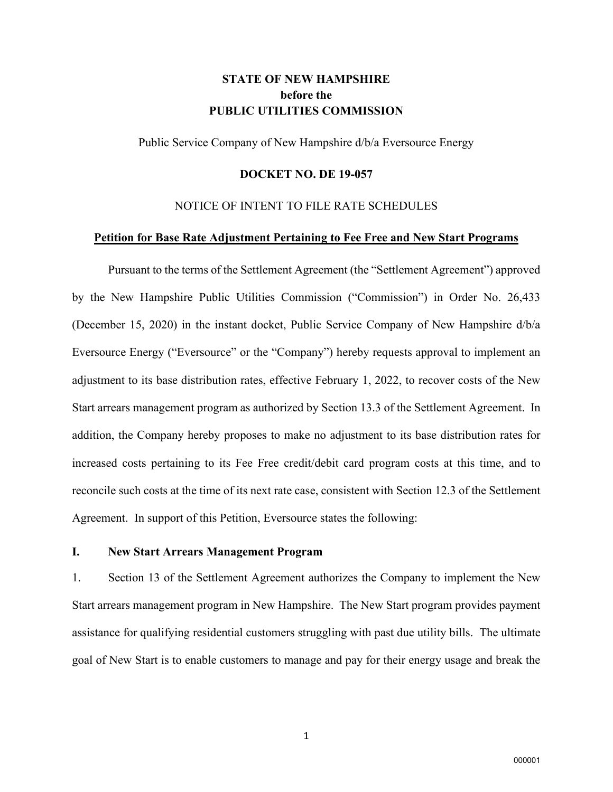# **STATE OF NEW HAMPSHIRE before the PUBLIC UTILITIES COMMISSION**

Public Service Company of New Hampshire d/b/a Eversource Energy

#### **DOCKET NO. DE 19-057**

### NOTICE OF INTENT TO FILE RATE SCHEDULES

#### **Petition for Base Rate Adjustment Pertaining to Fee Free and New Start Programs**

Pursuant to the terms of the Settlement Agreement (the "Settlement Agreement") approved by the New Hampshire Public Utilities Commission ("Commission") in Order No. 26,433 (December 15, 2020) in the instant docket, Public Service Company of New Hampshire d/b/a Eversource Energy ("Eversource" or the "Company") hereby requests approval to implement an adjustment to its base distribution rates, effective February 1, 2022, to recover costs of the New Start arrears management program as authorized by Section 13.3 of the Settlement Agreement. In addition, the Company hereby proposes to make no adjustment to its base distribution rates for increased costs pertaining to its Fee Free credit/debit card program costs at this time, and to reconcile such costs at the time of its next rate case, consistent with Section 12.3 of the Settlement Agreement. In support of this Petition, Eversource states the following:

#### **I. New Start Arrears Management Program**

1. Section 13 of the Settlement Agreement authorizes the Company to implement the New Start arrears management program in New Hampshire. The New Start program provides payment assistance for qualifying residential customers struggling with past due utility bills. The ultimate goal of New Start is to enable customers to manage and pay for their energy usage and break the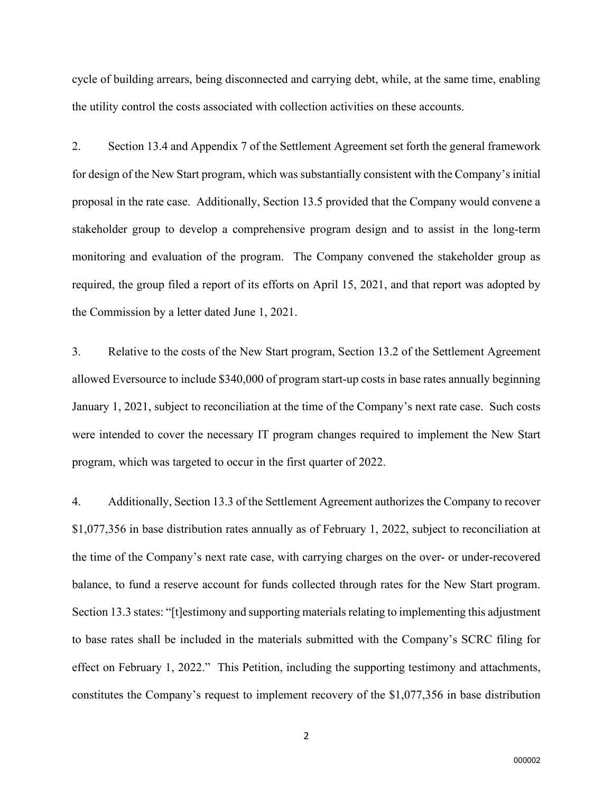cycle of building arrears, being disconnected and carrying debt, while, at the same time, enabling the utility control the costs associated with collection activities on these accounts.

2. Section 13.4 and Appendix 7 of the Settlement Agreement set forth the general framework for design of the New Start program, which was substantially consistent with the Company's initial proposal in the rate case. Additionally, Section 13.5 provided that the Company would convene a stakeholder group to develop a comprehensive program design and to assist in the long-term monitoring and evaluation of the program. The Company convened the stakeholder group as required, the group filed a report of its efforts on April 15, 2021, and that report was adopted by the Commission by a letter dated June 1, 2021.

3. Relative to the costs of the New Start program, Section 13.2 of the Settlement Agreement allowed Eversource to include \$340,000 of program start-up costs in base rates annually beginning January 1, 2021, subject to reconciliation at the time of the Company's next rate case. Such costs were intended to cover the necessary IT program changes required to implement the New Start program, which was targeted to occur in the first quarter of 2022.

4. Additionally, Section 13.3 of the Settlement Agreement authorizes the Company to recover \$1,077,356 in base distribution rates annually as of February 1, 2022, subject to reconciliation at the time of the Company's next rate case, with carrying charges on the over- or under-recovered balance, to fund a reserve account for funds collected through rates for the New Start program. Section 13.3 states: "[t]estimony and supporting materials relating to implementing this adjustment to base rates shall be included in the materials submitted with the Company's SCRC filing for effect on February 1, 2022." This Petition, including the supporting testimony and attachments, constitutes the Company's request to implement recovery of the \$1,077,356 in base distribution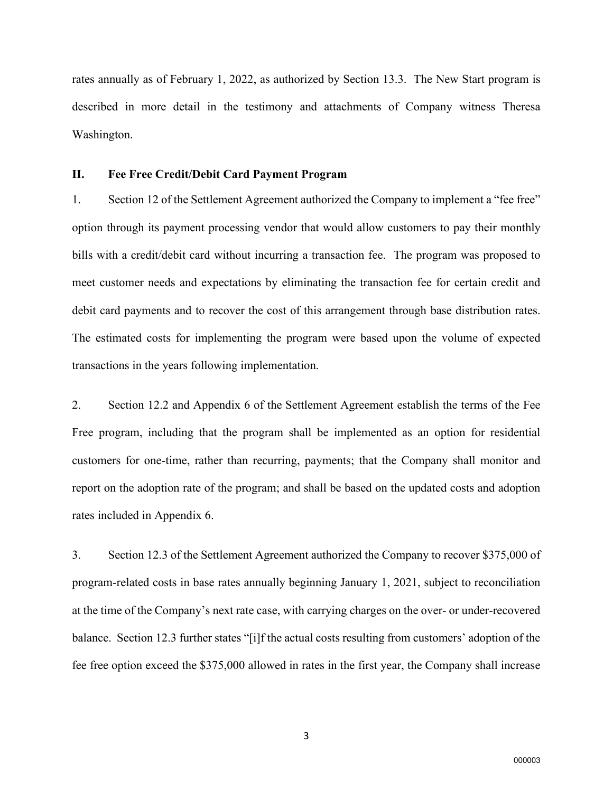rates annually as of February 1, 2022, as authorized by Section 13.3. The New Start program is described in more detail in the testimony and attachments of Company witness Theresa Washington.

## **II. Fee Free Credit/Debit Card Payment Program**

1. Section 12 of the Settlement Agreement authorized the Company to implement a "fee free" option through its payment processing vendor that would allow customers to pay their monthly bills with a credit/debit card without incurring a transaction fee. The program was proposed to meet customer needs and expectations by eliminating the transaction fee for certain credit and debit card payments and to recover the cost of this arrangement through base distribution rates. The estimated costs for implementing the program were based upon the volume of expected transactions in the years following implementation.

2. Section 12.2 and Appendix 6 of the Settlement Agreement establish the terms of the Fee Free program, including that the program shall be implemented as an option for residential customers for one-time, rather than recurring, payments; that the Company shall monitor and report on the adoption rate of the program; and shall be based on the updated costs and adoption rates included in Appendix 6.

3. Section 12.3 of the Settlement Agreement authorized the Company to recover \$375,000 of program-related costs in base rates annually beginning January 1, 2021, subject to reconciliation at the time of the Company's next rate case, with carrying charges on the over- or under-recovered balance. Section 12.3 further states "[i]f the actual costs resulting from customers' adoption of the fee free option exceed the \$375,000 allowed in rates in the first year, the Company shall increase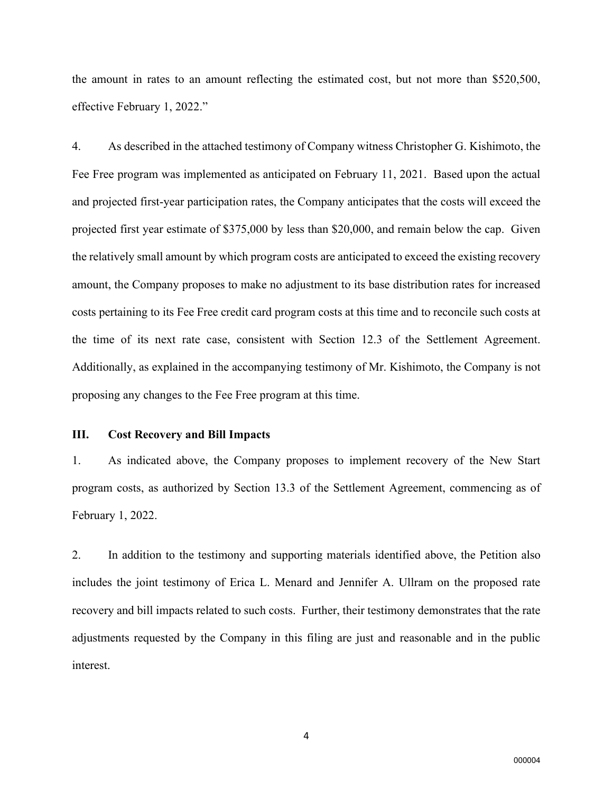the amount in rates to an amount reflecting the estimated cost, but not more than \$520,500, effective February 1, 2022."

4. As described in the attached testimony of Company witness Christopher G. Kishimoto, the Fee Free program was implemented as anticipated on February 11, 2021. Based upon the actual and projected first-year participation rates, the Company anticipates that the costs will exceed the projected first year estimate of \$375,000 by less than \$20,000, and remain below the cap. Given the relatively small amount by which program costs are anticipated to exceed the existing recovery amount, the Company proposes to make no adjustment to its base distribution rates for increased costs pertaining to its Fee Free credit card program costs at this time and to reconcile such costs at the time of its next rate case, consistent with Section 12.3 of the Settlement Agreement. Additionally, as explained in the accompanying testimony of Mr. Kishimoto, the Company is not proposing any changes to the Fee Free program at this time.

#### **III. Cost Recovery and Bill Impacts**

1. As indicated above, the Company proposes to implement recovery of the New Start program costs, as authorized by Section 13.3 of the Settlement Agreement, commencing as of February 1, 2022.

2. In addition to the testimony and supporting materials identified above, the Petition also includes the joint testimony of Erica L. Menard and Jennifer A. Ullram on the proposed rate recovery and bill impacts related to such costs. Further, their testimony demonstrates that the rate adjustments requested by the Company in this filing are just and reasonable and in the public interest.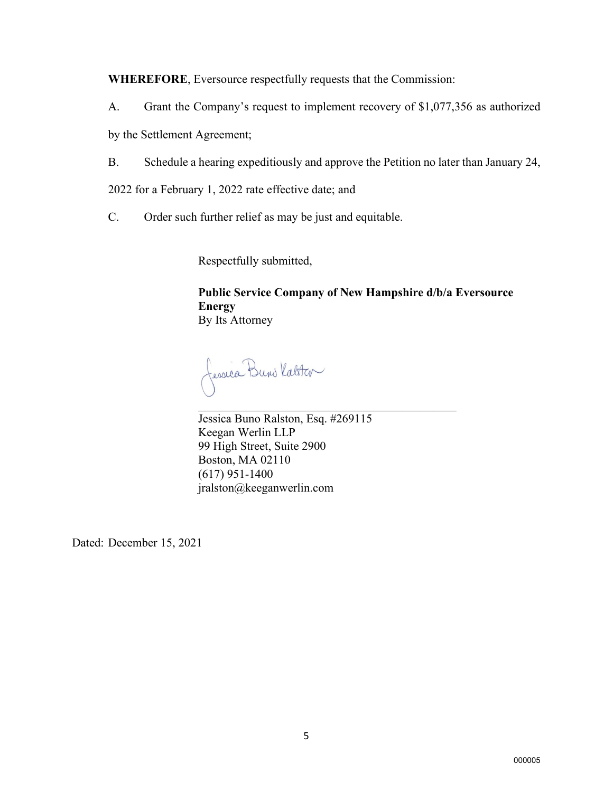**WHEREFORE**, Eversource respectfully requests that the Commission:

A. Grant the Company's request to implement recovery of \$1,077,356 as authorized

by the Settlement Agreement;

B. Schedule a hearing expeditiously and approve the Petition no later than January 24,

2022 for a February 1, 2022 rate effective date; and

C. Order such further relief as may be just and equitable.

Respectfully submitted,

**Public Service Company of New Hampshire d/b/a Eversource Energy** By Its Attorney

Jessica Buns Katster  $\mathcal{L}_\mathcal{L}$  , and the set of the set of the set of the set of the set of the set of the set of the set of the set of the set of the set of the set of the set of the set of the set of the set of the set of the set of th

Jessica Buno Ralston, Esq. #269115 Keegan Werlin LLP 99 High Street, Suite 2900 Boston, MA 02110 (617) 951-1400 jralston@keeganwerlin.com

Dated: December 15, 2021